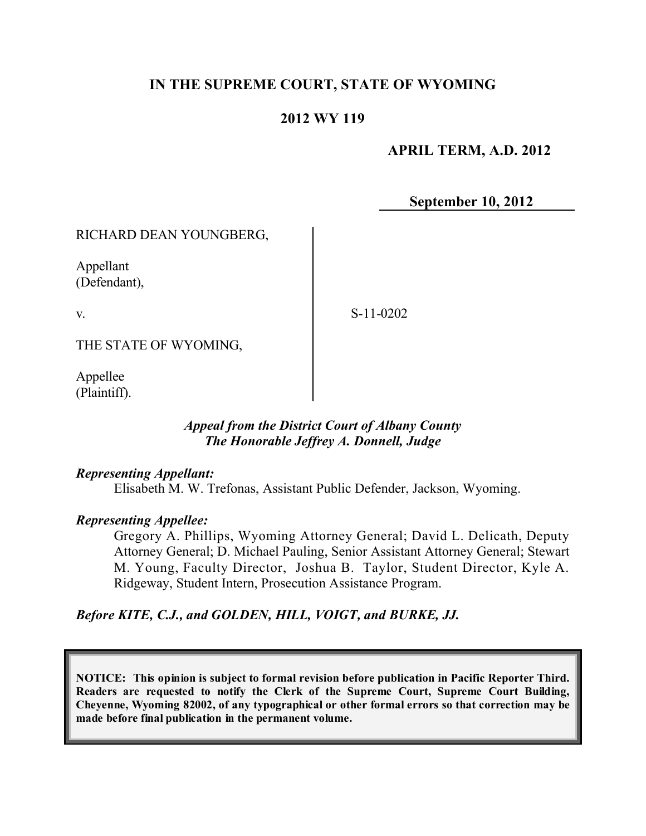# **IN THE SUPREME COURT, STATE OF WYOMING**

## **2012 WY 119**

## **APRIL TERM, A.D. 2012**

**September 10, 2012**

### RICHARD DEAN YOUNGBERG,

Appellant (Defendant),

v.

S-11-0202

THE STATE OF WYOMING,

Appellee (Plaintiff).

### *Appeal from the District Court of Albany County The Honorable Jeffrey A. Donnell, Judge*

### *Representing Appellant:*

Elisabeth M. W. Trefonas, Assistant Public Defender, Jackson, Wyoming.

### *Representing Appellee:*

Gregory A. Phillips, Wyoming Attorney General; David L. Delicath, Deputy Attorney General; D. Michael Pauling, Senior Assistant Attorney General; Stewart M. Young, Faculty Director, Joshua B. Taylor, Student Director, Kyle A. Ridgeway, Student Intern, Prosecution Assistance Program.

## *Before KITE, C.J., and GOLDEN, HILL, VOIGT, and BURKE, JJ.*

**NOTICE: This opinion is subject to formal revision before publication in Pacific Reporter Third. Readers are requested to notify the Clerk of the Supreme Court, Supreme Court Building, Cheyenne, Wyoming 82002, of any typographical or other formal errors so that correction may be made before final publication in the permanent volume.**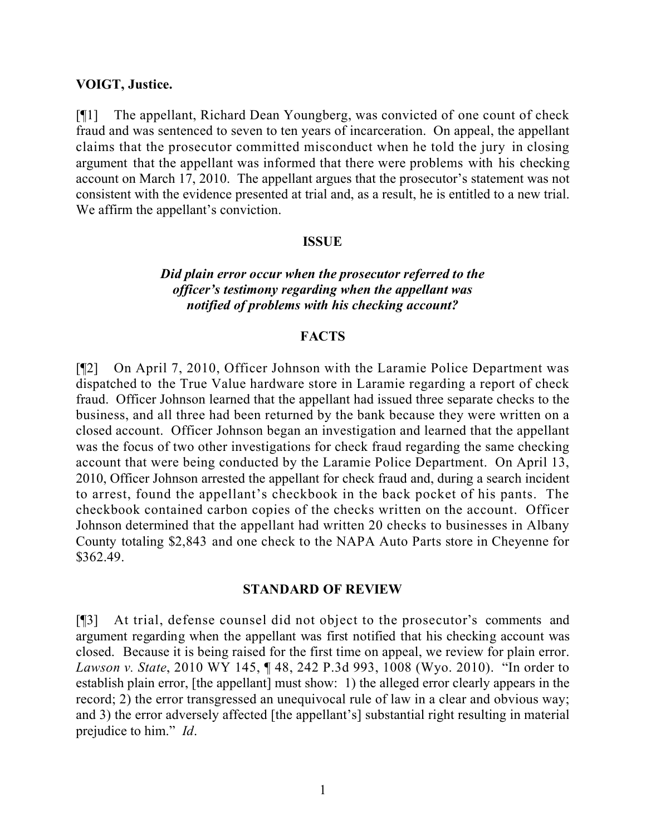#### **VOIGT, Justice.**

[¶1] The appellant, Richard Dean Youngberg, was convicted of one count of check fraud and was sentenced to seven to ten years of incarceration. On appeal, the appellant claims that the prosecutor committed misconduct when he told the jury in closing argument that the appellant was informed that there were problems with his checking account on March 17, 2010. The appellant argues that the prosecutor's statement was not consistent with the evidence presented at trial and, as a result, he is entitled to a new trial. We affirm the appellant's conviction.

#### **ISSUE**

### *Did plain error occur when the prosecutor referred to the officer's testimony regarding when the appellant was notified of problems with his checking account?*

### **FACTS**

[¶2] On April 7, 2010, Officer Johnson with the Laramie Police Department was dispatched to the True Value hardware store in Laramie regarding a report of check fraud. Officer Johnson learned that the appellant had issued three separate checks to the business, and all three had been returned by the bank because they were written on a closed account. Officer Johnson began an investigation and learned that the appellant was the focus of two other investigations for check fraud regarding the same checking account that were being conducted by the Laramie Police Department. On April 13, 2010, Officer Johnson arrested the appellant for check fraud and, during a search incident to arrest, found the appellant's checkbook in the back pocket of his pants. The checkbook contained carbon copies of the checks written on the account. Officer Johnson determined that the appellant had written 20 checks to businesses in Albany County totaling \$2,843 and one check to the NAPA Auto Parts store in Cheyenne for \$362.49.

#### **STANDARD OF REVIEW**

[¶3] At trial, defense counsel did not object to the prosecutor's comments and argument regarding when the appellant was first notified that his checking account was closed. Because it is being raised for the first time on appeal, we review for plain error. *Lawson v. State*, 2010 WY 145, ¶ 48, 242 P.3d 993, 1008 (Wyo. 2010). "In order to establish plain error, [the appellant] must show: 1) the alleged error clearly appears in the record; 2) the error transgressed an unequivocal rule of law in a clear and obvious way; and 3) the error adversely affected [the appellant's] substantial right resulting in material prejudice to him." *Id*.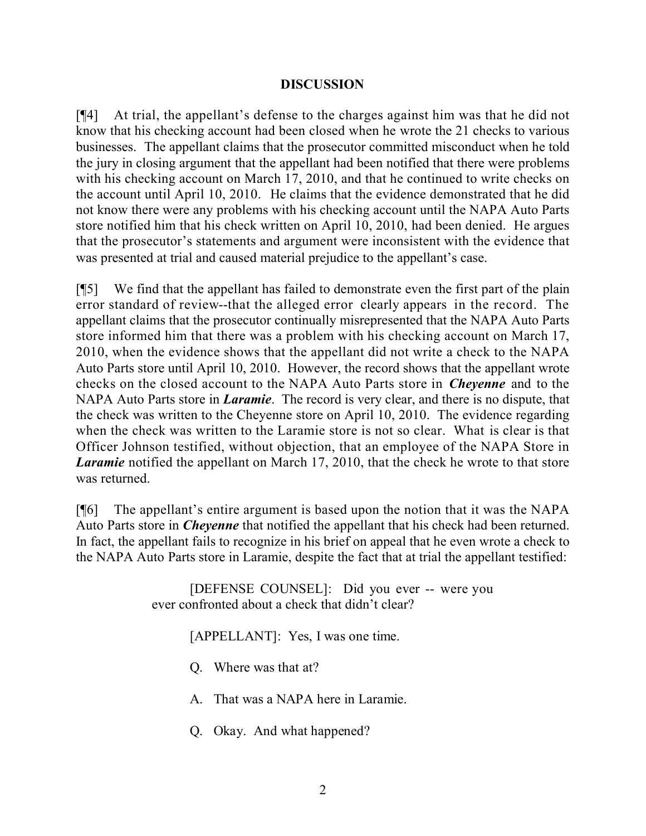### **DISCUSSION**

[¶4] At trial, the appellant's defense to the charges against him was that he did not know that his checking account had been closed when he wrote the 21 checks to various businesses. The appellant claims that the prosecutor committed misconduct when he told the jury in closing argument that the appellant had been notified that there were problems with his checking account on March 17, 2010, and that he continued to write checks on the account until April 10, 2010. He claims that the evidence demonstrated that he did not know there were any problems with his checking account until the NAPA Auto Parts store notified him that his check written on April 10, 2010, had been denied. He argues that the prosecutor's statements and argument were inconsistent with the evidence that was presented at trial and caused material prejudice to the appellant's case.

[¶5] We find that the appellant has failed to demonstrate even the first part of the plain error standard of review--that the alleged error clearly appears in the record. The appellant claims that the prosecutor continually misrepresented that the NAPA Auto Parts store informed him that there was a problem with his checking account on March 17, 2010, when the evidence shows that the appellant did not write a check to the NAPA Auto Parts store until April 10, 2010. However, the record shows that the appellant wrote checks on the closed account to the NAPA Auto Parts store in *Cheyenne* and to the NAPA Auto Parts store in *Laramie*. The record is very clear, and there is no dispute, that the check was written to the Cheyenne store on April 10, 2010. The evidence regarding when the check was written to the Laramie store is not so clear. What is clear is that Officer Johnson testified, without objection, that an employee of the NAPA Store in *Laramie* notified the appellant on March 17, 2010, that the check he wrote to that store was returned.

[¶6] The appellant's entire argument is based upon the notion that it was the NAPA Auto Parts store in *Cheyenne* that notified the appellant that his check had been returned. In fact, the appellant fails to recognize in his brief on appeal that he even wrote a check to the NAPA Auto Parts store in Laramie, despite the fact that at trial the appellant testified:

> [DEFENSE COUNSEL]: Did you ever -- were you ever confronted about a check that didn't clear?

> > [APPELLANT]: Yes, I was one time.

Q. Where was that at?

A. That was a NAPA here in Laramie.

Q. Okay. And what happened?